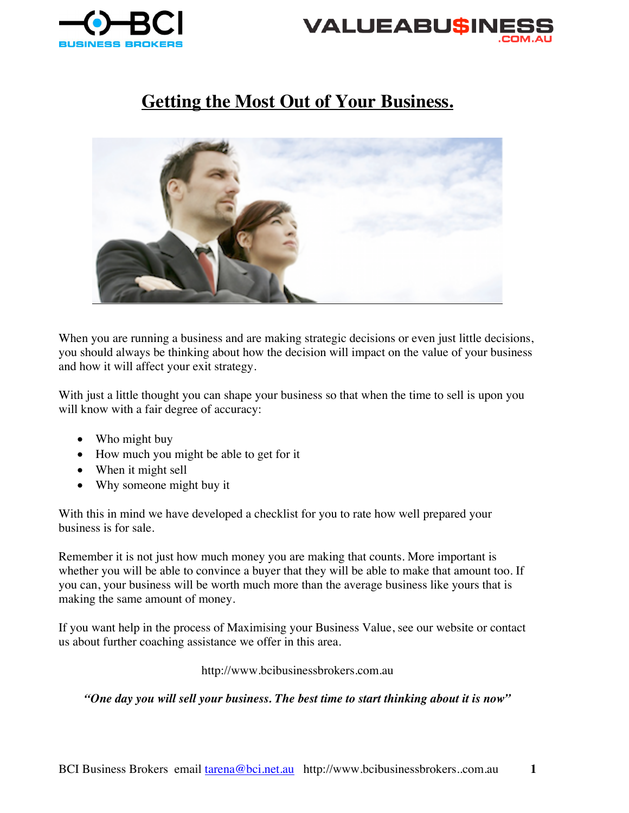



## **Getting the Most Out of Your Business.**



When you are running a business and are making strategic decisions or even just little decisions, you should always be thinking about how the decision will impact on the value of your business and how it will affect your exit strategy.

With just a little thought you can shape your business so that when the time to sell is upon you will know with a fair degree of accuracy:

- Who might buy
- How much you might be able to get for it
- When it might sell
- Why someone might buy it

With this in mind we have developed a checklist for you to rate how well prepared your business is for sale.

Remember it is not just how much money you are making that counts. More important is whether you will be able to convince a buyer that they will be able to make that amount too. If you can, your business will be worth much more than the average business like yours that is making the same amount of money.

If you want help in the process of Maximising your Business Value, see our website or contact us about further coaching assistance we offer in this area.

http://www.bcibusinessbrokers.com.au

*"One day you will sell your business. The best time to start thinking about it is now"*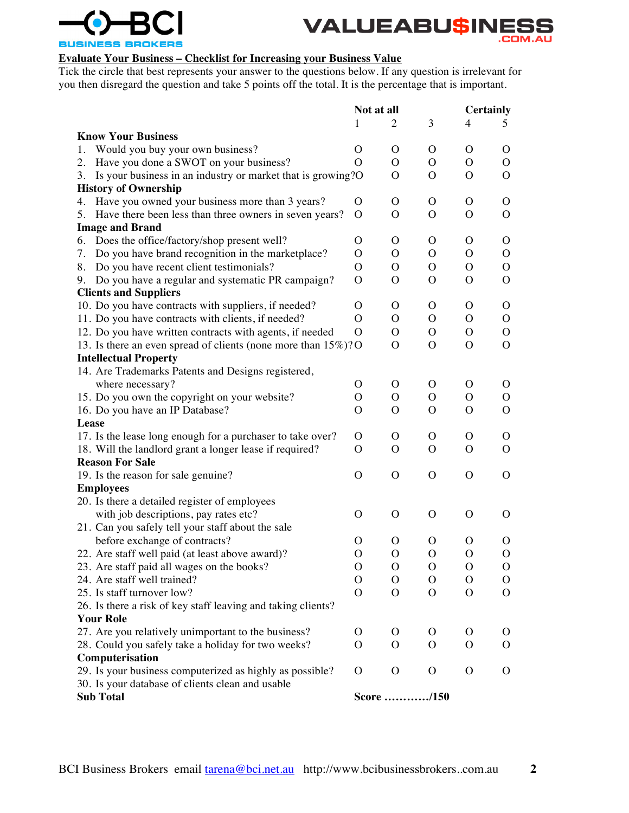



## **Evaluate Your Business – Checklist for Increasing your Business Value**

Tick the circle that best represents your answer to the questions below. If any question is irrelevant for you then disregard the question and take 5 points off the total. It is the percentage that is important.

|                                                                   | Not at all    |              |               |               | <b>Certainly</b> |  |
|-------------------------------------------------------------------|---------------|--------------|---------------|---------------|------------------|--|
|                                                                   | 1             | 2            | 3             | 4             | 5.               |  |
| <b>Know Your Business</b>                                         |               |              |               |               |                  |  |
| Would you buy your own business?<br>1.                            | $\Omega$      | $\Omega$     | O             | O             | O                |  |
| Have you done a SWOT on your business?<br>2.                      | $\Omega$      | $\Omega$     | O             | O             | $\Omega$         |  |
| Is your business in an industry or market that is growing?O<br>3. |               | O            | O             | O             | O                |  |
| <b>History of Ownership</b>                                       |               |              |               |               |                  |  |
| 4. Have you owned your business more than 3 years?                | $\Omega$      | $\mathbf{O}$ | $\mathbf{O}$  | $\mathbf{O}$  | $\mathbf{O}$     |  |
| Have there been less than three owners in seven years?<br>5.      | $\Omega$      | $\Omega$     | O             | O             | $\mathbf{O}$     |  |
| <b>Image and Brand</b>                                            |               |              |               |               |                  |  |
| Does the office/factory/shop present well?<br>6.                  | O             | O            | O             | O             | $\mathbf{O}$     |  |
| Do you have brand recognition in the marketplace?<br>7.           | $\Omega$      | $\Omega$     | O             | O             | $\mathbf{O}$     |  |
| Do you have recent client testimonials?<br>8.                     | $\Omega$      | $\Omega$     | $\mathbf{O}$  | $\mathbf{O}$  | $\mathbf{O}$     |  |
| Do you have a regular and systematic PR campaign?<br>9.           | $\Omega$      | $\Omega$     | $\mathcal{O}$ | $\mathbf{O}$  | $\Omega$         |  |
| <b>Clients and Suppliers</b>                                      |               |              |               |               |                  |  |
| 10. Do you have contracts with suppliers, if needed?              | $\Omega$      | $\mathbf{O}$ | $\mathbf{O}$  | $\mathbf{O}$  | $\mathbf{O}$     |  |
| 11. Do you have contracts with clients, if needed?                | $\Omega$      | $\Omega$     | $\mathbf{O}$  | $\mathbf{O}$  | $\mathbf{O}$     |  |
| 12. Do you have written contracts with agents, if needed          | $\Omega$      | O            | $\mathbf{O}$  | O             | $\overline{O}$   |  |
| 13. Is there an even spread of clients (none more than 15%)? O    |               | $\Omega$     | $\mathcal{O}$ | O             | $\Omega$         |  |
| <b>Intellectual Property</b>                                      |               |              |               |               |                  |  |
| 14. Are Trademarks Patents and Designs registered,                |               |              |               |               |                  |  |
| where necessary?                                                  | $\Omega$      | 0            | O             | O             | O                |  |
| 15. Do you own the copyright on your website?                     | $\Omega$      | $\Omega$     | $\mathbf{O}$  | O             | $\mathbf{O}$     |  |
| 16. Do you have an IP Database?                                   | $\mathbf{O}$  | $\Omega$     | $\mathbf{O}$  | $\mathbf{O}$  | $\mathbf{O}$     |  |
| Lease                                                             |               |              |               |               |                  |  |
| 17. Is the lease long enough for a purchaser to take over?        | 0             | 0            | O             | O             | O                |  |
| 18. Will the landlord grant a longer lease if required?           | $\Omega$      | $\Omega$     | O             | O             | $\Omega$         |  |
| <b>Reason For Sale</b>                                            |               |              |               |               |                  |  |
|                                                                   | $\mathbf O$   | $\mathbf{O}$ | $\Omega$      | $\Omega$      | O                |  |
| 19. Is the reason for sale genuine?                               |               |              |               |               |                  |  |
| <b>Employees</b>                                                  |               |              |               |               |                  |  |
| 20. Is there a detailed register of employees                     |               |              |               |               |                  |  |
| with job descriptions, pay rates etc?                             | $\Omega$      | $\Omega$     | $\Omega$      | $\Omega$      | O                |  |
| 21. Can you safely tell your staff about the sale                 |               |              |               |               |                  |  |
| before exchange of contracts?                                     | O             | O            | O             | O             | O                |  |
| 22. Are staff well paid (at least above award)?                   | $\mathbf O$   | $\mathbf O$  | $\mathbf{O}$  | $\mathbf{O}$  | $\mathbf{O}$     |  |
| 23. Are staff paid all wages on the books?                        | O             | $\mathbf O$  | $\mathbf O$   | $\mathbf O$   | $\mathbf O$      |  |
| 24. Are staff well trained?                                       | O             | $\Omega$     | O             | O             | O                |  |
| 25. Is staff turnover low?                                        | $\mathcal{O}$ | $\Omega$     | O             | $\mathcal{O}$ | $\Omega$         |  |
| 26. Is there a risk of key staff leaving and taking clients?      |               |              |               |               |                  |  |
| <b>Your Role</b>                                                  |               |              |               |               |                  |  |
| 27. Are you relatively unimportant to the business?               | O             | O            | O             | O             | O                |  |
| 28. Could you safely take a holiday for two weeks?                | $\Omega$      | $\Omega$     | O             | $\mathbf{O}$  | $\Omega$         |  |
| Computerisation                                                   |               |              |               |               |                  |  |
| 29. Is your business computerized as highly as possible?          | $\Omega$      | $\mathbf{O}$ | O             | O             | O                |  |
| 30. Is your database of clients clean and usable                  |               |              |               |               |                  |  |
| <b>Sub Total</b>                                                  |               | Score /150   |               |               |                  |  |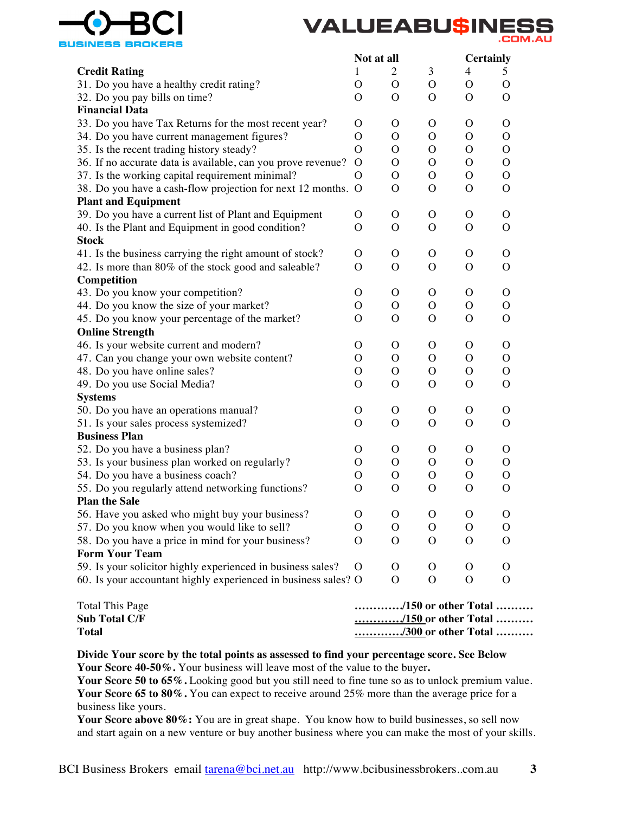



|                                                                | Not at all   |               |                | <b>Certainly</b> |               |
|----------------------------------------------------------------|--------------|---------------|----------------|------------------|---------------|
| <b>Credit Rating</b>                                           | $\mathbf{1}$ | 2             | 3              | 4                | 5             |
| 31. Do you have a healthy credit rating?                       | $\Omega$     | $\mathcal{O}$ | $\mathbf{O}$   | $\mathcal{O}$    | $\Omega$      |
| 32. Do you pay bills on time?                                  | $\Omega$     | $\Omega$      | $\Omega$       | $\Omega$         | $\Omega$      |
| <b>Financial Data</b>                                          |              |               |                |                  |               |
| 33. Do you have Tax Returns for the most recent year?          | O            | O             | $\mathcal{O}$  | O                | O             |
| 34. Do you have current management figures?                    | O            | O             | $\mathcal{O}$  | $\Omega$         | $\Omega$      |
| 35. Is the recent trading history steady?                      | $\Omega$     | $\Omega$      | $\mathcal{O}$  | O                | $\Omega$      |
| 36. If no accurate data is available, can you prove revenue?   | $\Omega$     | O             | $\mathbf{O}$   | O                | $\Omega$      |
| 37. Is the working capital requirement minimal?                | O            | $\mathbf{O}$  | $\mathbf{O}$   | $\mathcal{O}$    | $\mathcal{O}$ |
| 38. Do you have a cash-flow projection for next 12 months. O   |              | $\mathbf{O}$  | $\mathbf{O}$   | $\mathbf{O}$     | $\Omega$      |
| <b>Plant and Equipment</b>                                     |              |               |                |                  |               |
| 39. Do you have a current list of Plant and Equipment          | O            | $\mathcal{O}$ | $\mathbf{O}$   | $\mathcal{O}$    | O             |
| 40. Is the Plant and Equipment in good condition?              | O            | O             | $\Omega$       | $\Omega$         | $\Omega$      |
| <b>Stock</b>                                                   |              |               |                |                  |               |
| 41. Is the business carrying the right amount of stock?        | O            | $\Omega$      | $\Omega$       | $\mathcal{O}$    | 0             |
| 42. Is more than 80% of the stock good and saleable?           | O            | $\Omega$      | O              | $\Omega$         | $\Omega$      |
| <b>Competition</b>                                             |              |               |                |                  |               |
| 43. Do you know your competition?                              | $\mathbf{O}$ | O             | $\mathbf{O}$   | O                | $\Omega$      |
| 44. Do you know the size of your market?                       | O            | $\mathbf{O}$  | $\mathbf{O}$   | $\Omega$         | $\Omega$      |
| 45. Do you know your percentage of the market?                 | O            | O             | $\mathbf{O}$   | O                | $\Omega$      |
| <b>Online Strength</b>                                         |              |               |                |                  |               |
| 46. Is your website current and modern?                        | O            | $\Omega$      | $\mathcal{O}$  | $\Omega$         | O             |
| 47. Can you change your own website content?                   | O            | $\Omega$      | $\mathbf{O}$   | $\Omega$         | $\Omega$      |
| 48. Do you have online sales?                                  | O            | $\mathcal{O}$ | $\mathbf{O}$   | $\mathcal{O}$    | $\Omega$      |
| 49. Do you use Social Media?                                   | O            | $\mathbf{O}$  | $\mathbf{O}$   | O                | $\Omega$      |
| <b>Systems</b>                                                 |              |               |                |                  |               |
| 50. Do you have an operations manual?                          | $\mathbf{O}$ | $\mathbf{O}$  | $\mathbf{O}$   | $\mathcal{O}$    | O             |
| 51. Is your sales process systemized?                          | O            | $\mathcal{O}$ | $\mathbf{O}$   | $\Omega$         | $\Omega$      |
| <b>Business Plan</b>                                           |              |               |                |                  |               |
| 52. Do you have a business plan?                               | O            | O             | $\Omega$       | $\Omega$         | O             |
| 53. Is your business plan worked on regularly?                 | O            | 0             | $\Omega$       | $\Omega$         | 0             |
| 54. Do you have a business coach?                              | O            | O             | O              | $\Omega$         | 0             |
| 55. Do you regularly attend networking functions?              | O            | $\Omega$      | $\mathbf{O}$   | O                | $\Omega$      |
| <b>Plan the Sale</b>                                           |              |               |                |                  |               |
| 56. Have you asked who might buy your business?                | O            | O             | $\overline{O}$ | $\mathbf O$      | O             |
| 57. Do you know when you would like to sell?                   | O            | $\mathbf{O}$  | $\mathbf{O}$   | O                | О             |
| 58. Do you have a price in mind for your business?             | O            | O             | O              | О                | O             |
| <b>Form Your Team</b>                                          |              |               |                |                  |               |
| 59. Is your solicitor highly experienced in business sales?    | O            | O             | O              | O                | O             |
| 60. Is your accountant highly experienced in business sales? O |              | $\mathbf{O}$  | $\mathbf{O}$   | $\mathbf O$      | O             |
|                                                                |              |               |                |                  |               |

| Total This Page      | /150 or other Total |
|----------------------|---------------------|
| <b>Sub Total C/F</b> | /150 or other Total |
| <b>Total</b>         | /300 or other Total |

## **Divide Your score by the total points as assessed to find your percentage score. See Below Your Score 40-50%.** Your business will leave most of the value to the buyer**.**

**Your Score 50 to 65%.** Looking good but you still need to fine tune so as to unlock premium value. **Your Score 65 to 80%.** You can expect to receive around 25% more than the average price for a business like yours.

Your Score above 80%: You are in great shape. You know how to build businesses, so sell now and start again on a new venture or buy another business where you can make the most of your skills.